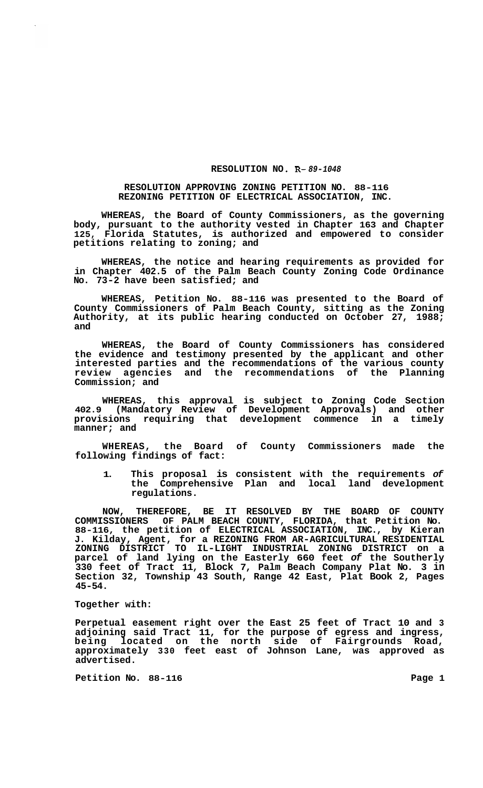## **RESOLUTION NO R-** *89-1048*

## **RESOLUTION APPROVING ZONING PETITION NO. 88-116 REZONING PETITION OF ELECTRICAL ASSOCIATION, INC.**

**WHEREAS, the Board of County Commissioners, as the governing body, pursuant to the authority vested in Chapter 163 and Chapter 125, Florida Statutes, is authorized and empowered to consider petitions relating to zoning; and** 

**WHEREAS, the notice and hearing requirements as provided for in Chapter 402.5 of the Palm Beach County Zoning Code Ordinance No. 73-2 have been satisfied; and** 

**WHEREAS, Petition No. 88-116 was presented to the Board of County Commissioners of Palm Beach County, sitting as the Zoning Authority, at its public hearing conducted on October 27, 1988; and** 

**WHEREAS, the Board of County Commissioners has considered the evidence and testimony presented by the applicant and other interested parties and the recommendations of the various county review agencies and the recommendations of the Planning Commission; and** 

**WHEREAS, this approval is subject to Zoning Code Section 402.9 (Mandatory Review of Development Approvals) and other provisions requiring that development commence in a timely manner; and** 

**WHEREAS, the Board of County Commissioners made the following findings of fact:** 

**1. This proposal is consistent with the requirements** *of*  **the Comprehensive Plan and local land development regulations.** 

**NOW, THEREFORE, BE IT RESOLVED BY THE BOARD OF COUNTY COMMISSIONERS OF PALM BEACH COUNTY, FLORIDA, that Petition No. 88-116, the petition of ELECTRICAL ASSOCIATION, INC., by Kieran J. Kilday, Agent, for a REZONING FROM AR-AGRICULTURAL RESIDENTIAL ZONING DISTRICT TO IL-LIGHT INDUSTRIAL ZONING DISTRICT on a parcel of land lying on the Easterly 660 feet** *of* **the Southerly 330 feet of Tract 11, Block 7, Palm Beach Company Plat No. 3 in Section 32, Township 43 South, Range 42 East, Plat Book 2, Pages 45-54.** 

## **Together with:**

**Perpetual easement right over the East 25 feet of Tract 10 and 3 adjoining said Tract 11, for the purpose of egress and ingress, being located on the north side of Fairgrounds Road, approximately 330 feet east of Johnson Lane, was approved as advertised.** 

Petition No. 88-116 **Page 1 Page 1**